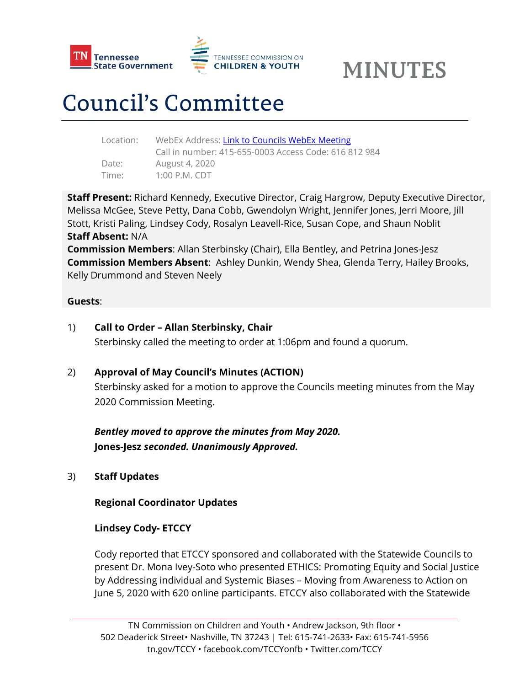

# Council's Committee

| WebEx Address: Link to Councils WebEx Meeting         |
|-------------------------------------------------------|
| Call in number: 415-655-0003 Access Code: 616 812 984 |
| August 4, 2020                                        |
| $1:00$ P.M. CDT                                       |
|                                                       |

**Staff Present:** Richard Kennedy, Executive Director, Craig Hargrow, Deputy Executive Director, Melissa McGee, Steve Petty, Dana Cobb, Gwendolyn Wright, Jennifer Jones, Jerri Moore, Jill Stott, Kristi Paling, Lindsey Cody, Rosalyn Leavell-Rice, Susan Cope, and Shaun Noblit **Staff Absent:** N/A

**Commission Members**: Allan Sterbinsky (Chair), Ella Bentley, and Petrina Jones-Jesz **Commission Members Absent**: Ashley Dunkin, Wendy Shea, Glenda Terry, Hailey Brooks, Kelly Drummond and Steven Neely

### **Guests**:

1) **Call to Order – Allan Sterbinsky, Chair**

Sterbinsky called the meeting to order at 1:06pm and found a quorum.

## 2) **Approval of May Council's Minutes (ACTION)**

Sterbinsky asked for a motion to approve the Councils meeting minutes from the May 2020 Commission Meeting.

*Bentley moved to approve the minutes from May 2020.*  **Jones-Jesz** *seconded. Unanimously Approved.*

3) **Staff Updates**

### **Regional Coordinator Updates**

## **Lindsey Cody- ETCCY**

Cody reported that ETCCY sponsored and collaborated with the Statewide Councils to present Dr. Mona Ivey-Soto who presented ETHICS: Promoting Equity and Social Justice by Addressing individual and Systemic Biases – Moving from Awareness to Action on June 5, 2020 with 620 online participants. ETCCY also collaborated with the Statewide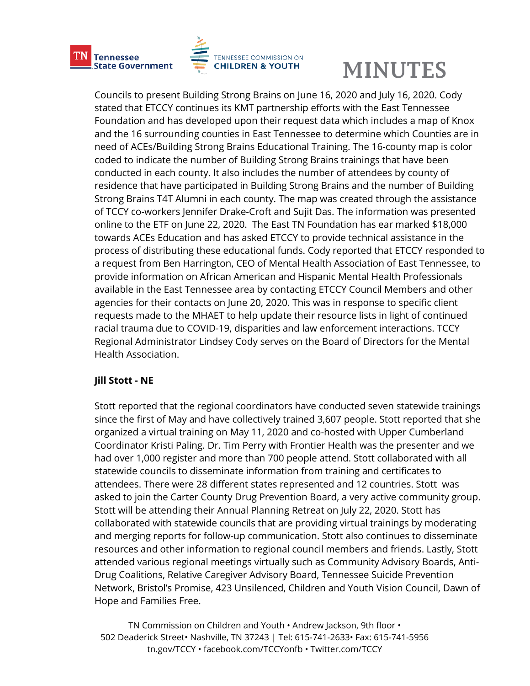

Councils to present Building Strong Brains on June 16, 2020 and July 16, 2020. Cody stated that ETCCY continues its KMT partnership efforts with the East Tennessee Foundation and has developed upon their request data which includes a map of Knox and the 16 surrounding counties in East Tennessee to determine which Counties are in need of ACEs/Building Strong Brains Educational Training. The 16-county map is color coded to indicate the number of Building Strong Brains trainings that have been conducted in each county. It also includes the number of attendees by county of residence that have participated in Building Strong Brains and the number of Building Strong Brains T4T Alumni in each county. The map was created through the assistance of TCCY co-workers Jennifer Drake-Croft and Sujit Das. The information was presented online to the ETF on June 22, 2020. The East TN Foundation has ear marked \$18,000 towards ACEs Education and has asked ETCCY to provide technical assistance in the process of distributing these educational funds. Cody reported that ETCCY responded to a request from Ben Harrington, CEO of Mental Health Association of East Tennessee, to provide information on African American and Hispanic Mental Health Professionals available in the East Tennessee area by contacting ETCCY Council Members and other agencies for their contacts on June 20, 2020. This was in response to specific client requests made to the MHAET to help update their resource lists in light of continued racial trauma due to COVID-19, disparities and law enforcement interactions. TCCY Regional Administrator Lindsey Cody serves on the Board of Directors for the Mental Health Association.

## **Jill Stott - NE**

Stott reported that the regional coordinators have conducted seven statewide trainings since the first of May and have collectively trained 3,607 people. Stott reported that she organized a virtual training on May 11, 2020 and co-hosted with Upper Cumberland Coordinator Kristi Paling. Dr. Tim Perry with Frontier Health was the presenter and we had over 1,000 register and more than 700 people attend. Stott collaborated with all statewide councils to disseminate information from training and certificates to attendees. There were 28 different states represented and 12 countries. Stott was asked to join the Carter County Drug Prevention Board, a very active community group. Stott will be attending their Annual Planning Retreat on July 22, 2020. Stott has collaborated with statewide councils that are providing virtual trainings by moderating and merging reports for follow-up communication. Stott also continues to disseminate resources and other information to regional council members and friends. Lastly, Stott attended various regional meetings virtually such as Community Advisory Boards, Anti-Drug Coalitions, Relative Caregiver Advisory Board, Tennessee Suicide Prevention Network, Bristol's Promise, 423 Unsilenced, Children and Youth Vision Council, Dawn of Hope and Families Free.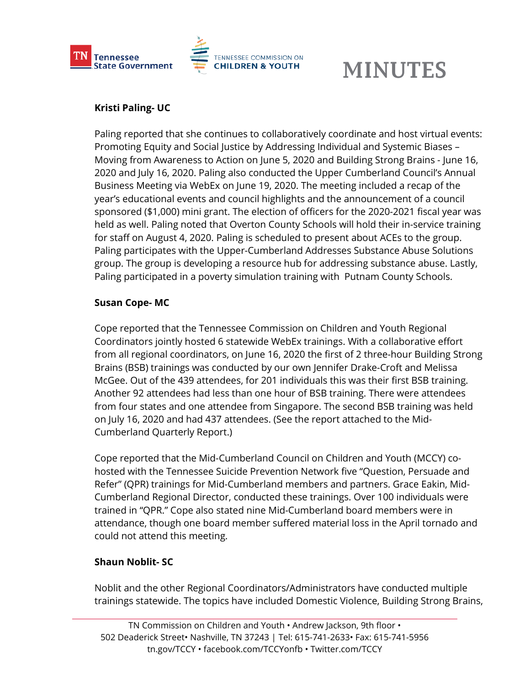

## **Kristi Paling- UC**

Paling reported that she continues to collaboratively coordinate and host virtual events: Promoting Equity and Social Justice by Addressing Individual and Systemic Biases – Moving from Awareness to Action on June 5, 2020 and Building Strong Brains - June 16, 2020 and July 16, 2020. Paling also conducted the Upper Cumberland Council's Annual Business Meeting via WebEx on June 19, 2020. The meeting included a recap of the year's educational events and council highlights and the announcement of a council sponsored (\$1,000) mini grant. The election of officers for the 2020-2021 fiscal year was held as well. Paling noted that Overton County Schools will hold their in-service training for staff on August 4, 2020. Paling is scheduled to present about ACEs to the group. Paling participates with the Upper-Cumberland Addresses Substance Abuse Solutions group. The group is developing a resource hub for addressing substance abuse. Lastly, Paling participated in a poverty simulation training with Putnam County Schools.

### **Susan Cope- MC**

Cope reported that the Tennessee Commission on Children and Youth Regional Coordinators jointly hosted 6 statewide WebEx trainings. With a collaborative effort from all regional coordinators, on June 16, 2020 the first of 2 three-hour Building Strong Brains (BSB) trainings was conducted by our own Jennifer Drake-Croft and Melissa McGee. Out of the 439 attendees, for 201 individuals this was their first BSB training. Another 92 attendees had less than one hour of BSB training. There were attendees from four states and one attendee from Singapore. The second BSB training was held on July 16, 2020 and had 437 attendees. (See the report attached to the Mid-Cumberland Quarterly Report.)

Cope reported that the Mid-Cumberland Council on Children and Youth (MCCY) cohosted with the Tennessee Suicide Prevention Network five "Question, Persuade and Refer" (QPR) trainings for Mid-Cumberland members and partners. Grace Eakin, Mid-Cumberland Regional Director, conducted these trainings. Over 100 individuals were trained in "QPR." Cope also stated nine Mid-Cumberland board members were in attendance, though one board member suffered material loss in the April tornado and could not attend this meeting.

## **Shaun Noblit- SC**

Noblit and the other Regional Coordinators/Administrators have conducted multiple trainings statewide. The topics have included Domestic Violence, Building Strong Brains,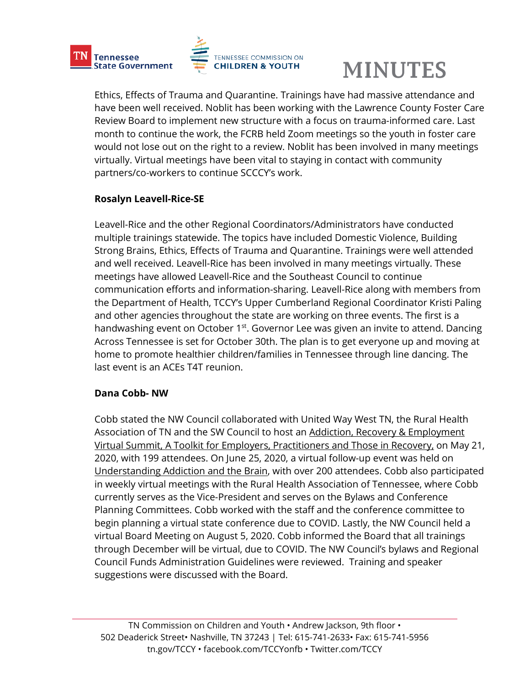



Ethics, Effects of Trauma and Quarantine. Trainings have had massive attendance and have been well received. Noblit has been working with the Lawrence County Foster Care Review Board to implement new structure with a focus on trauma-informed care. Last month to continue the work, the FCRB held Zoom meetings so the youth in foster care would not lose out on the right to a review. Noblit has been involved in many meetings virtually. Virtual meetings have been vital to staying in contact with community partners/co-workers to continue SCCCY's work.

## **Rosalyn Leavell-Rice-SE**

Leavell-Rice and the other Regional Coordinators/Administrators have conducted multiple trainings statewide. The topics have included Domestic Violence, Building Strong Brains, Ethics, Effects of Trauma and Quarantine. Trainings were well attended and well received. Leavell-Rice has been involved in many meetings virtually. These meetings have allowed Leavell-Rice and the Southeast Council to continue communication efforts and information-sharing. Leavell-Rice along with members from the Department of Health, TCCY's Upper Cumberland Regional Coordinator Kristi Paling and other agencies throughout the state are working on three events. The first is a handwashing event on October 1<sup>st</sup>. Governor Lee was given an invite to attend. Dancing Across Tennessee is set for October 30th. The plan is to get everyone up and moving at home to promote healthier children/families in Tennessee through line dancing. The last event is an ACEs T4T reunion.

## **Dana Cobb- NW**

Cobb stated the NW Council collaborated with United Way West TN, the Rural Health Association of TN and the SW Council to host an Addiction, Recovery & Employment Virtual Summit, A Toolkit for Employers, Practitioners and Those in Recovery, on May 21, 2020, with 199 attendees. On June 25, 2020, a virtual follow-up event was held on Understanding Addiction and the Brain, with over 200 attendees. Cobb also participated in weekly virtual meetings with the Rural Health Association of Tennessee, where Cobb currently serves as the Vice-President and serves on the Bylaws and Conference Planning Committees. Cobb worked with the staff and the conference committee to begin planning a virtual state conference due to COVID. Lastly, the NW Council held a virtual Board Meeting on August 5, 2020. Cobb informed the Board that all trainings through December will be virtual, due to COVID. The NW Council's bylaws and Regional Council Funds Administration Guidelines were reviewed. Training and speaker suggestions were discussed with the Board.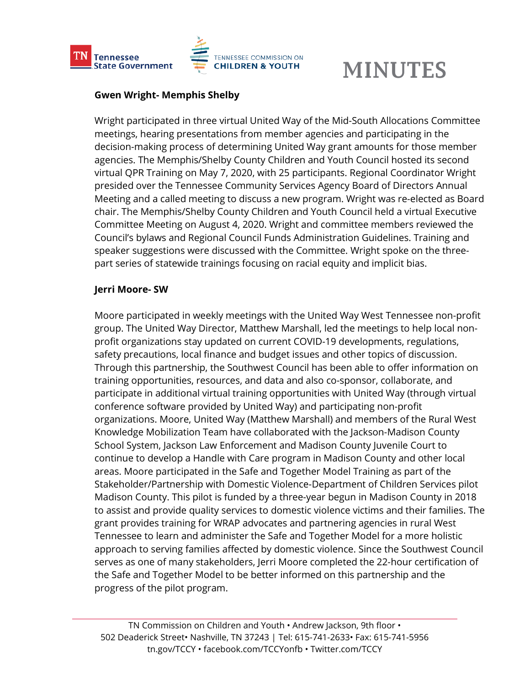

### **Gwen Wright- Memphis Shelby**

Wright participated in three virtual United Way of the Mid-South Allocations Committee meetings, hearing presentations from member agencies and participating in the decision-making process of determining United Way grant amounts for those member agencies. The Memphis/Shelby County Children and Youth Council hosted its second virtual QPR Training on May 7, 2020, with 25 participants. Regional Coordinator Wright presided over the Tennessee Community Services Agency Board of Directors Annual Meeting and a called meeting to discuss a new program. Wright was re-elected as Board chair. The Memphis/Shelby County Children and Youth Council held a virtual Executive Committee Meeting on August 4, 2020. Wright and committee members reviewed the Council's bylaws and Regional Council Funds Administration Guidelines. Training and speaker suggestions were discussed with the Committee. Wright spoke on the threepart series of statewide trainings focusing on racial equity and implicit bias.

### **Jerri Moore- SW**

Moore participated in weekly meetings with the United Way West Tennessee non-profit group. The United Way Director, Matthew Marshall, led the meetings to help local nonprofit organizations stay updated on current COVID-19 developments, regulations, safety precautions, local finance and budget issues and other topics of discussion. Through this partnership, the Southwest Council has been able to offer information on training opportunities, resources, and data and also co-sponsor, collaborate, and participate in additional virtual training opportunities with United Way (through virtual conference software provided by United Way) and participating non-profit organizations. Moore, United Way (Matthew Marshall) and members of the Rural West Knowledge Mobilization Team have collaborated with the Jackson-Madison County School System, Jackson Law Enforcement and Madison County Juvenile Court to continue to develop a Handle with Care program in Madison County and other local areas. Moore participated in the Safe and Together Model Training as part of the Stakeholder/Partnership with Domestic Violence-Department of Children Services pilot Madison County. This pilot is funded by a three-year begun in Madison County in 2018 to assist and provide quality services to domestic violence victims and their families. The grant provides training for WRAP advocates and partnering agencies in rural West Tennessee to learn and administer the Safe and Together Model for a more holistic approach to serving families affected by domestic violence. Since the Southwest Council serves as one of many stakeholders, Jerri Moore completed the 22-hour certification of the Safe and Together Model to be better informed on this partnership and the progress of the pilot program.